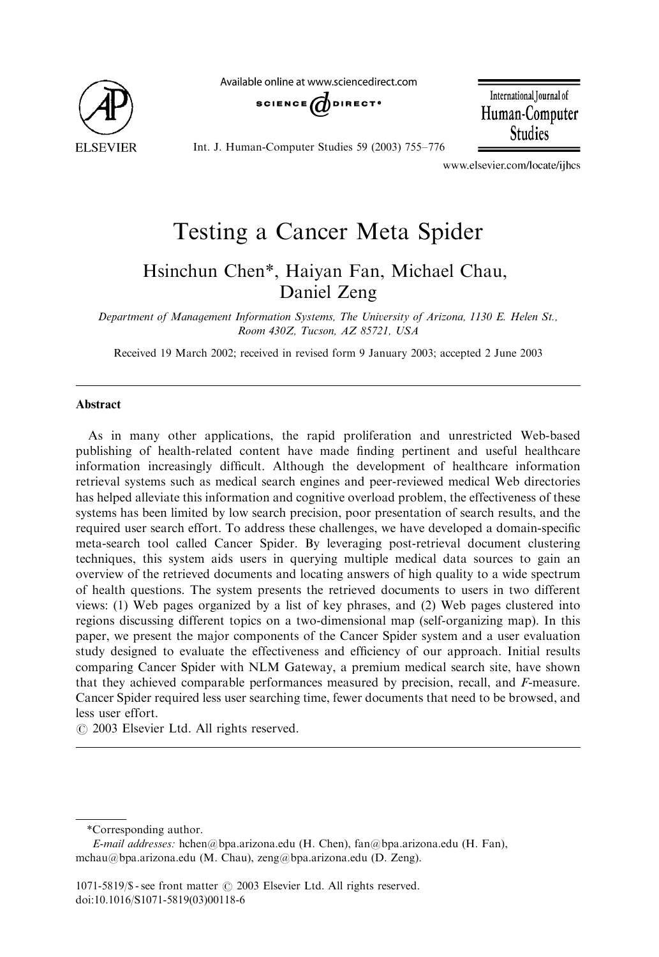

Available online at www.sciencedirect.com



International Iournal of Human-Computer **Studies** 

Int. J. Human-Computer Studies 59 (2003) 755–776

www.elsevier.com/locate/ijhcs

# Testing a Cancer Meta Spider

## Hsinchun Chen\*, Haiyan Fan, Michael Chau, Daniel Zeng

Department of Management Information Systems, The University of Arizona, 1130 E. Helen St., Room 430Z, Tucson, AZ 85721, USA

Received 19 March 2002; received in revised form 9 January 2003; accepted 2 June 2003

#### Abstract

As in many other applications, the rapid proliferation and unrestricted Web-based publishing of health-related content have made finding pertinent and useful healthcare information increasingly difficult. Although the development of healthcare information retrieval systems such as medical search engines and peer-reviewed medical Web directories has helped alleviate this information and cognitive overload problem, the effectiveness of these systems has been limited by low search precision, poor presentation of search results, and the required user search effort. To address these challenges, we have developed a domain-specific meta-search tool called Cancer Spider. By leveraging post-retrieval document clustering techniques, this system aids users in querying multiple medical data sources to gain an overview of the retrieved documents and locating answers of high quality to a wide spectrum of health questions. The system presents the retrieved documents to users in two different views: (1) Web pages organized by a list of key phrases, and (2) Web pages clustered into regions discussing different topics on a two-dimensional map (self-organizing map). In this paper, we present the major components of the Cancer Spider system and a user evaluation study designed to evaluate the effectiveness and efficiency of our approach. Initial results comparing Cancer Spider with NLM Gateway, a premium medical search site, have shown that they achieved comparable performances measured by precision, recall, and F-measure. Cancer Spider required less user searching time, fewer documents that need to be browsed, and less user effort.

 $\odot$  2003 Elsevier Ltd. All rights reserved.

<sup>\*</sup>Corresponding author.

E-mail addresses: hchen@bpa.arizona.edu (H. Chen), fan@bpa.arizona.edu (H. Fan), mchau@bpa.arizona.edu (M. Chau), zeng@bpa.arizona.edu (D. Zeng).

<sup>1071-5819/\$ -</sup> see front matter  $\odot$  2003 Elsevier Ltd. All rights reserved. doi:10.1016/S1071-5819(03)00118-6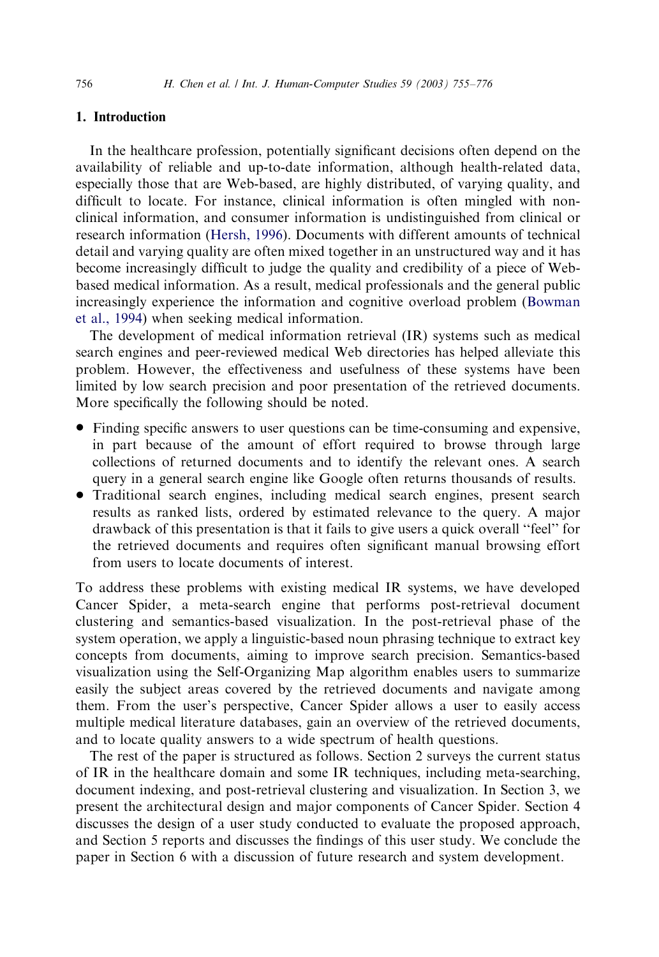## 1. Introduction

In the healthcare profession, potentially significant decisions often depend on the availability of reliable and up-to-date information, although health-related data, especially those that are Web-based, are highly distributed, of varying quality, and difficult to locate. F[or instance,](#page-20-0) clinical information is often mingled with nonclinical information, and consumer information is undistinguished from clinical or research information (Hersh, 1996). Documents with different amounts of technical detail and varying quality are often mixed together in an unstructured way and it has become increasingly difficult to judge the quality and credibility of a piece [of Web](#page-20-0)[based medi](#page-20-0)cal information. As a result, medical professionals and the general public increasingly experience the information and cognitive overload problem (Bowman et al., 1994) when seeking medical information.

The development of medical information retrieval (IR) systems such as medical search engines and peer-reviewed medical Web directories has helped alleviate this problem. However, the effectiveness and usefulness of these systems have been limited by low search precision and poor presentation of the retrieved documents. More specifically the following should be noted.

- \* Finding specific answers to user questions can be time-consuming and expensive, in part because of the amount of effort required to browse through large collections of returned documents and to identify the relevant ones. A search query in a general search engine like Google often returns thousands of results.
- \* Traditional search engines, including medical search engines, present search results as ranked lists, ordered by estimated relevance to the query. A major drawback of this presentation is that it fails to give users a quick overall ''feel'' for the retrieved documents and requires often significant manual browsing effort from users to locate documents of interest.

To address these problems with existing medical IR systems, we have developed Cancer Spider, a meta-search engine that performs post-retrieval document clustering and semantics-based visualization. In the post-retrieval phase of the system operation, we apply a linguistic-based noun phrasing technique to extract key concepts from documents, aiming to improve search precision. Semantics-based visualization using the Self-Organizing Map algorithm enables users to summarize easily the subject areas covered by the retrieved documents and navigate among them. From the user's perspective, Cancer Spider allows a user to easily access multiple medical literature databases, gain an overview of the retrieved documents, and to locate quality answers to a wide spectrum of health questions.

The rest of the paper is structured as follows. Section 2 surveys the current status of IR in the healthcare domain and some IR techniques, including meta-searching, document indexing, and post-retrieval clustering and visualization. In Section 3, we present the architectural design and major components of Cancer Spider. Section 4 discusses the design of a user study conducted to evaluate the proposed approach, and Section 5 reports and discusses the findings of this user study. We conclude the paper in Section 6 with a discussion of future research and system development.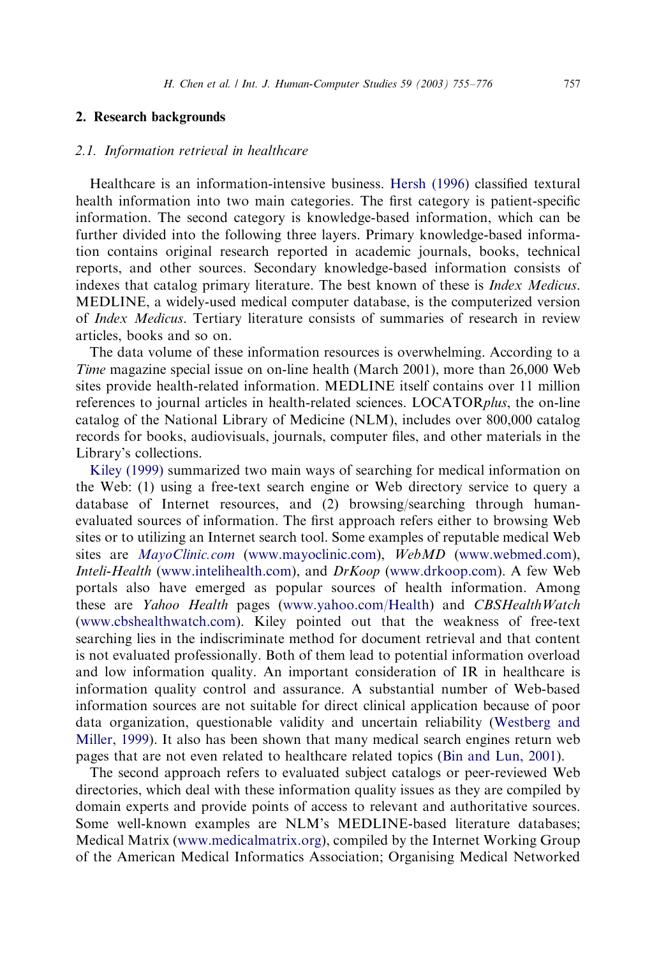## 2. Research backgrounds

## 2.1. Information retrieval in healthcare

Healthcare is an information-intensive business. Hersh (1996) classified textural health information into two main categories. The first category is patient-specific information. The second category is knowledge-based information, which can be further divided into the following three layers. Primary knowledge-based information contains original research reported in academic journals, books, technical reports, and other sources. Secondary knowledge-based information consists of indexes that catalog primary literature. The best known of these is Index Medicus. MEDLINE, a widely-used medical computer database, is the computerized version of Index Medicus. Tertiary literature consists of summaries of research in review articles, books and so on.

The data volume of these information resources is overwhelming. According to a Time magazine special issue on on-line health (March 2001), more than 26,000 Web sites provide health-related information. MEDLINE itself contains over 11 million references to journal articles in health-related sciences. LOCATORplus, the on-line catalog of the National Library of Medicine (NLM), includes over 800,000 catalog re[cords for boo](#page-20-0)ks, audiovisuals, journals, computer files, and other materials in the Library's collections.

Kiley (1999) summarized two main ways of searching for medical information on the Web: (1) using a free-text search engine or Web directory service to query a database of Internet resources, and (2) browsing/searching through humanevaluated [sources of inform](http://MayoClinic.com)[ation. The first approa](http://www.mayoclinic.com)ch refers eit[her to browsing We](http://www.webmed.com)b sites or to utili[zing an Internet search](http://www.intelihealth.com) tool. Some exa[mples of reputable](http://www.drkoop.com) medical Web sites are *MayoClinic.com* (www.mayoclinic.com), *WebMD* (www.webmed.com), Inteli-Health (www.intelihealth.com), and [DrKoop](http://www.yahoo.com/Health) (www.drkoop.com). A few Web [portals also have emerge](http://www.cbshealthwatch.com)d as popular sources of health information. Among these are Yahoo Health pages (www.yahoo.com/Health) and CBSHealthWatch (www.cbshealthwatch.com). Kiley pointed out that the weakness of free-text searching lies in the indiscriminate method for document retrieval and that content is not evaluated professionally. Both of them lead to potential information overload and low information quality. An important consideration of IR in healthcare is information quality control and assurance. A substantial number [of Web-based](#page-21-0) [information](#page-21-0) sources are not suitable for direct clinical application because of poor data organization, questionable validity and uncertain rel[iability \(Westberg](#page-20-0) and Miller, 1999). It also has been shown that many medical search engines return web pages that are not even related to healthcare related topics (Bin and Lun, 2001).

The second approach refers to evaluated subject catalogs or peer-reviewed Web directories, which deal with these information quality issues as they are compiled by domain experts [and provide points of ac](http://www.medicalmatrix.org)cess to relevant and authoritative sources. Some well-known examples are NLM's MEDLINE-based literature databases; Medical Matrix (www.medicalmatrix.org), compiled by the Internet Working Group of the American Medical Informatics Association; Organising Medical Networked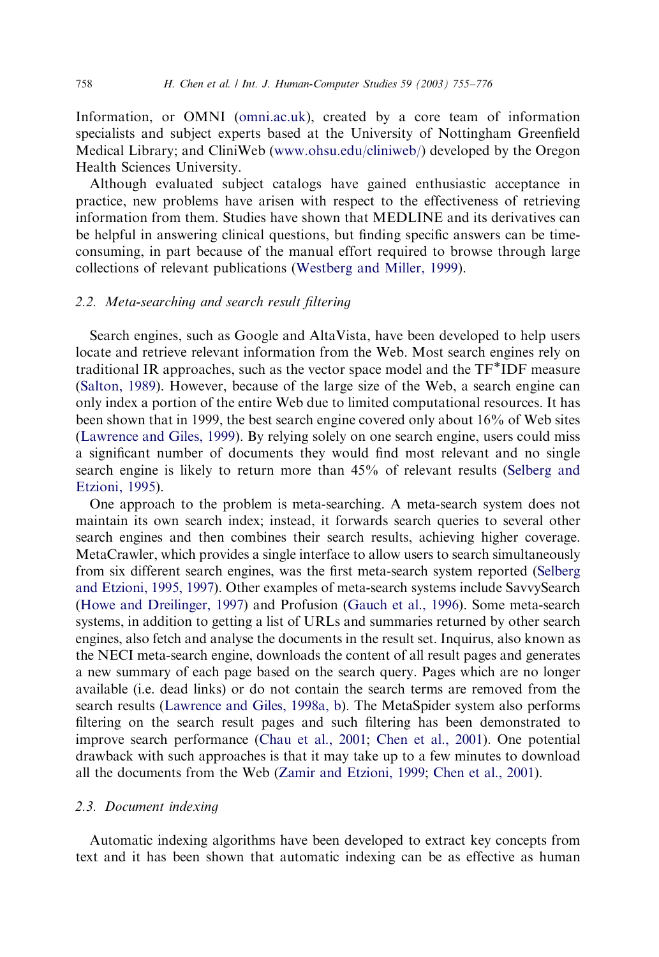Information, or OMNI (omni.[ac.uk\), created by a c](http://www.ohsu.edu/cliniweb/)ore team of information specialists and subject experts based at the University of Nottingham Greenfield Medical Library; and CliniWeb (www.ohsu.edu/cliniweb/) developed by the Oregon Health Sciences University.

Although evaluated subject catalogs have gained enthusiastic acceptance in practice, new problems have arisen with respect to the effectiveness of retrieving information from them. Studies have shown that MEDLINE and its derivatives can be helpful in answering clinical que[stions, but finding specific a](#page-21-0)nswers can be timeconsuming, in part because of the manual effort required to browse through large collections of relevant publications (Westberg and Miller, 1999).

## 2.2. Meta-searching and search result filtering

Search engines, such as Google and AltaVista, have been developed to help users l[ocate and ret](#page-21-0)rieve relevant information from the Web. Most search engines rely on traditional IR approaches, such as the vector space model and the  $TF^*IDF$  measure (Salton, 1989). However, because of the large size of the Web, a search engine can [only index a portion of the](#page-21-0) entire Web due to limited computational resources. It has been shown that in 1999, the best search engine covered only about 16% of Web sites (Lawrence and Giles, 1999). By relying solely on one search engine, user[s could miss](#page-21-0) [a significant](#page-21-0) number of documents they would find most relevant and no single search engine is likely to return more than 45% of relevant results (Selberg and Etzioni, 1995).

One approach to the problem is meta-searching. A meta-search system does not maintain its own search index; instead, it forwards search queries to several other search engines and then combines their search results, achieving higher c[overage.](#page-21-0) [MetaCrawler, which pro](#page-21-0)vides a single interface to allow users to search simultaneously [from six different search eng](#page-20-0)ines, was the fir[st meta-search syste](#page-20-0)m reported (Selberg and Etzioni, 1995, 1997). Other examples of meta-search systems include SavvySearch (Howe and Dreilinger, 1997) and Profusion (Gauch et al., 1996). Some meta-search systems, in addition to getting a list of URLs and summaries returned by other search engines, also fetch and analyse the documents in the result set. Inquirus, also known as the NECI meta-search engine, downloads the content of all result pages and generates a new summar[y of each page based on the s](#page-21-0)earch query. Pages which are no longer available (i.e. dead links) or do not contain the search terms are removed from the search results (Lawrence and [Giles, 1998a, b\). Th](#page-20-0)e [MetaSpider syste](#page-20-0)m also performs filtering on the search result pages and such filtering has been demonstrated to improve search performance (Ch[au et al., 2001;](#page-21-0) Chen et [al., 2001\). One p](#page-20-0)otential drawback with such approaches is that it may take up to a few minutes to download all the documents from the Web (Zamir and Etzioni, 1999; Chen et al., 2001).

## 2.3. Document indexing

Automaticindexing algorithms have been developed to extract key concepts from text and it has been shown that automatic indexing can be as effective as human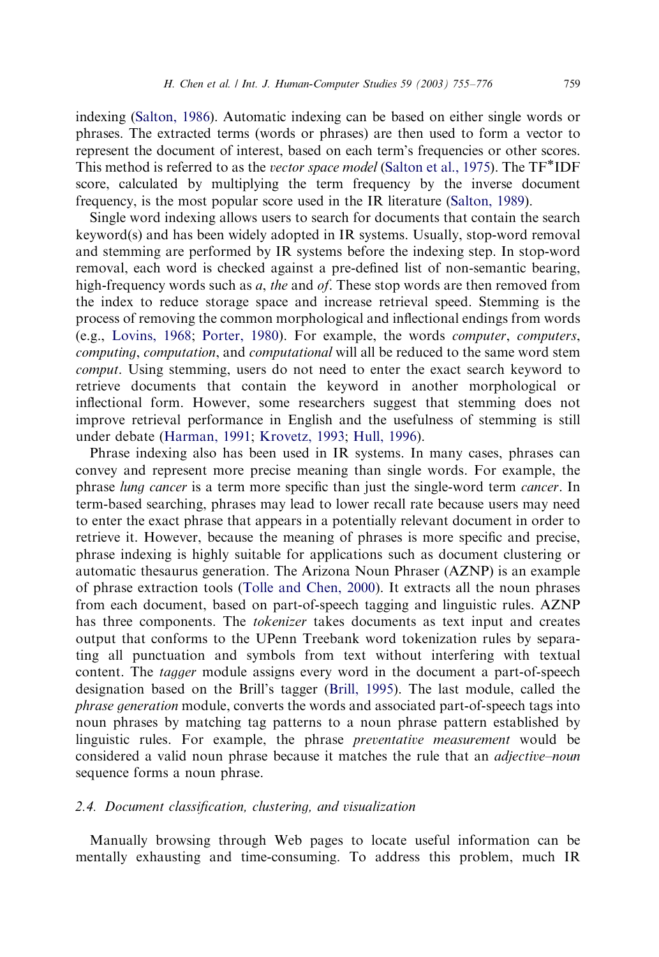indexing (Salton, 1986). Automaticindexing can be based on either single words or phrases. The extracted terms (words or phrases) a[re then used to fo](#page-21-0)rm a vector to represent the document of interest, based on each term's frequencies or other scores. This method is referred to as the *vector space model* (Salton et a[l., 1975\). The](#page-21-0)  $TF^*IDF$ score, calculated by multiplying the term frequency by the inverse document frequency, is the most popular score used in the IR literature (Salton, 1989).

Single word indexing allows users to search for documents that contain the search keyword(s) and has been widely adopted in IR systems. Usually, stop-word removal and stemming are performed by IR systems before the indexing step. In stop-word removal, each word is checked against a pre-defined list of non-semantic bearing, high-frequency words such as *a*, *the* and *of*. These stop words are then removed from the i[ndex to reduc](#page-21-0)e [storage spac](#page-21-0)e and increase retrieval speed. Stemming is the process of removing the common morphological and inflectional endings from words (e.g., Lovins, 1968; Porter, 1980). For example, the words computer, computers, computing, computation, and computational will all be reduced to the same word stem comput. Using stemming, users do not need to enter the exact search keyword to retrieve documents that contain the keyword in another morphological or inflectional fo[rm. However,](#page-20-0) [some research](#page-21-0)[ers suggest](#page-20-0) that stemming does not improve retrieval performance in English and the usefulness of stemming is still under debate (Harman, 1991; Krovetz, 1993; Hull, 1996).

Phrase indexing also has been used in IR systems. In many cases, phrases can convey and represent more precise meaning than single words. For example, the phrase lung cancer is a term more specific than just the single-word term cancer. In term-based searching, phrases may lead to lower recall rate because users may need to enter the exact phrase that appears in a potentially relevant document in order to retrieve it. However, because the meaning of phrases is more specific and precise, phrase indexing is highly s[uitable for application](#page-21-0)s such as document clustering or automatic thesaurus generation. The Arizona Noun Phraser (AZNP) is an example of phrase extraction tools (Tolle and Chen, 2000). It extracts all the noun phrases from each document, based on part-of-speech tagging and linguistic rules. AZNP has three components. The tokenizer takes documents as text input and creates output that conforms to the UPenn Treebank word tokenization rules by separating all punctuation and symbols fro[m text wit](#page-20-0)hout interfering with textual content. The *tagger* module assigns every word in the document a part-of-speech designation based on the Brill's tagger (Brill, 1995). The last module, called the phrase generation module, converts the words and associated part-of-speech tags into noun phrases by matching tag patterns to a noun phrase pattern established by linguistic rules. For example, the phrase *preventative measurement* would be considered a valid noun phrase because it matches the rule that an *adjective–noun* sequence forms a noun phrase.

## 2.4. Document classification, clustering, and visualization

Manually browsing through Web pages to locate useful information can be mentally exhausting and time-consuming. To address this problem, much IR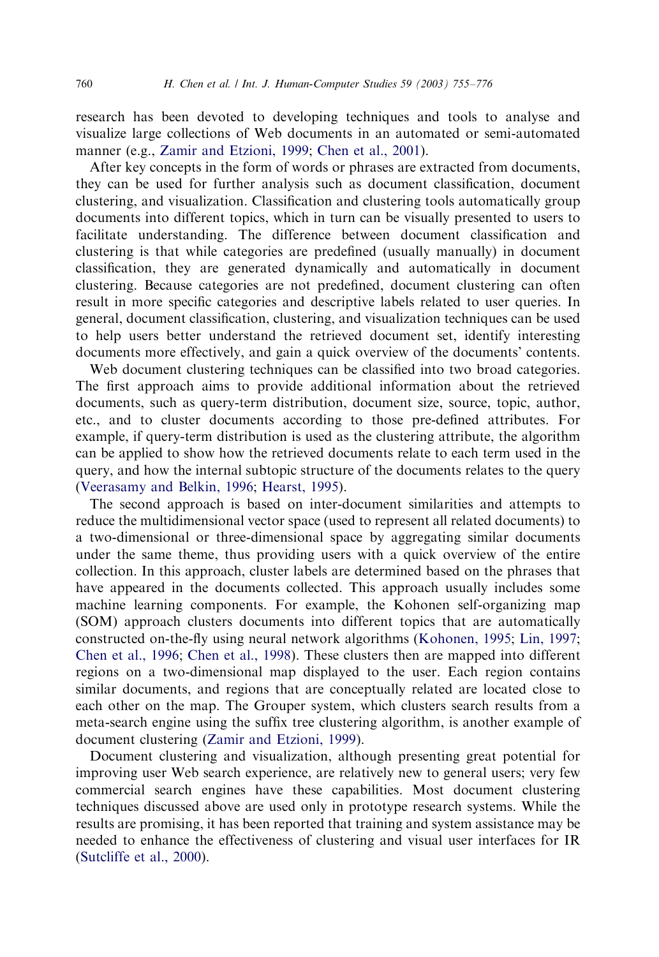research has [been devoted to develo](#page-21-0)[ping techniques a](#page-20-0)nd tools to analyse and visualize large collections of Web documents in an automated or semi-automated manner (e.g., Zamir and Etzioni, 1999; Chen et al., 2001).

After key concepts in the form of words or phrases are extracted from documents, they can be used for further analysis such as document classification, document clustering, and visualization. Classification and clustering tools automatically group documents into different topics, which in turn can be visually presented to users to facilitate understanding. The difference between document classification and clustering is that while categories are predefined (usually manually) in document classification, they are generated dynamically and automatically in document clustering. Because categories are not predefined, document clustering can often result in more specific categories and descriptive labels related to user queries. In general, document classification, clustering, and visualization techniques can be used to help users better understand the retrieved document set, identify interesting documents more effectively, and gain a quick overview of the documents' contents.

Web document clustering techniques can be classified into two broad categories. The first approach aims to provide additional information about the retrieved documents, such as query-term distribution, document size, source, topic, author, etc., and to cluster documents according to those pre-defined attributes. For example, if query-term distribution is used as the clustering attribute, the algorithm [can be applied to show how t](#page-21-0)h[e retrieved do](#page-20-0)cuments relate to each term used in the query, and how the internal subtopicstructure of the documents relates to the query (Veerasamy and Belkin, 1996; Hearst, 1995).

The second approach is based on inter-document similarities and attempts to reduce the multidimensional vector space (used to represent all related documents) to a two-dimensional or three-dimensional space by aggregating similar documents under the same theme, thus providing users with a quick overview of the entire collection. In this approach, cluster labels are determined based on the phrases that have appeared in the documents collected. This approach usually includes some machine learning components. For example, the Ko[honen self-organizing map](#page-21-0) [\(SOM\) approach clusters documen](#page-20-0)ts into different topics that are automatically constructed on-the-fly using neural network algorithms (Kohonen, 1995; Lin, 1997; Chen et al., 1996; Chen et al., 1998). These clusters then are mapped into different regions on a two-dimensional map displayed to the user. Each region contains similar documents, and regions that are conceptually related are located close to each other on the m[ap. The Grouper system,](#page-21-0) which clusters search results from a meta-search engine using the suffix tree clustering algorithm, is another example of document clustering (Zamir and Etzioni, 1999).

Document clustering and visualization, although presenting great potential for improving user Web search experience, are relatively new to general users; very few commercial search engines have these capabilities. Most document clustering techniques discussed above are used only in prototype research systems. While the [results are promising,](#page-21-0) it has been reported that training and system assistance may be needed to enhance the effectiveness of clustering and visual user interfaces for IR (Sutcliffe et al., 2000).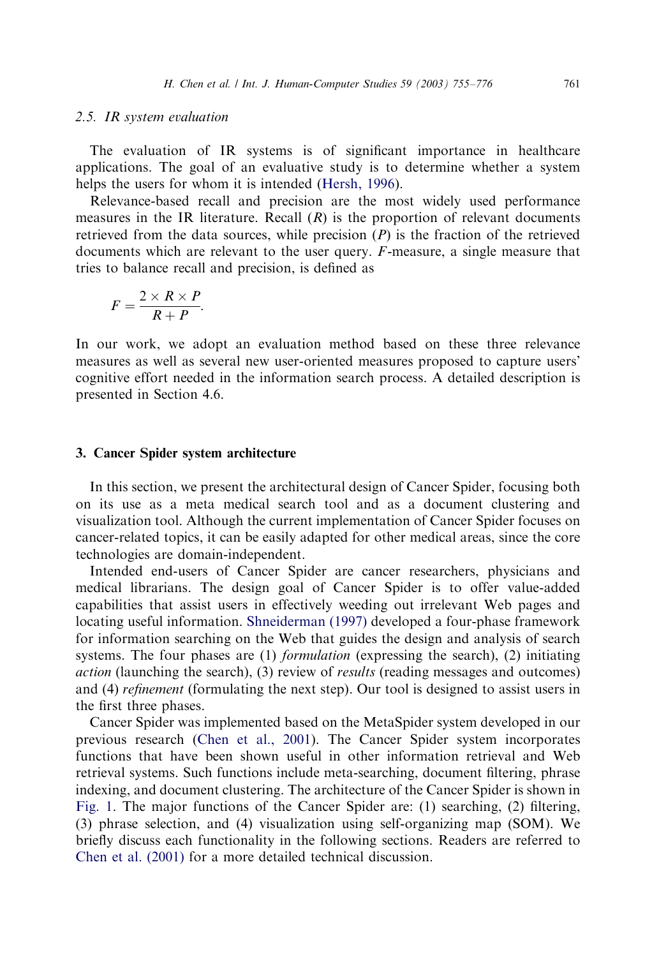#### 2.5. IR system evaluation

The evaluation of IR systems is [of significan](#page-20-0)t importance in healthcare applications. The goal of an evaluative study is to determine whether a system helps the users for whom it is intended (Hersh, 1996).

Relevance-based recall and precision are the most widely used performance measures in the IR literature. Recall  $(R)$  is the proportion of relevant documents retrieved from the data sources, while precision  $(P)$  is the fraction of the retrieved documents which are relevant to the user query. F-measure, a single measure that tries to balance recall and precision, is defined as

$$
F=\frac{2\times R\times P}{R+P}.
$$

In our work, we adopt an evaluation method based on these three relevance measures as well as several new user-oriented measures proposed to capture users' cognitive effort needed in the information search process. A detailed description is presented in Section 4.6.

## 3. Cancer Spider system architecture

In this section, we present the architectural design of Cancer Spider, focusing both on its use as a meta medical search tool and as a document clustering and visualization tool. Although the current implementation of Cancer Spider focuses on cancer-related topics, it can be easily adapted for other medical areas, since the core technologies are domain-independent.

Intended end-users of Cancer Spider are cancer researchers, physicians and medical librarians. The de[sign goal of Cance](#page-21-0)r Spider is to offer value-added capabilities that assist users in effectively weeding out irrelevant Web pages and locating useful information. Shneiderman (1997) developed a four-phase framework for information searching on the Web that guides the design and analysis of search systems. The four phases are (1) *formulation* (expressing the search), (2) initiating action (launching the search), (3) review of results (reading messages and outcomes) and (4) refinement (formulating the next step). Our tool is designed to assist users in the first three phase[s.](#page-20-0)

Cancer Spider was implemented based on the MetaSpider system developed in our previous research (Chen et al., 2001). The Cancer Spider system incorporates functions that have been shown useful in other information retrieval and Web [retriev](#page-7-0)al systems. Such functions include meta-searching, document filtering, phrase indexing, and document clustering. The architecture of the Cancer Spider is shown in Fig. 1. The major functions of the Cancer Spider are: (1) searching, (2) filtering, [\(3\) phrase selectio](#page-20-0)n, and (4) visualization using self-organizing map (SOM). We briefly discuss each functionality in the following sections. Readers are referred to Chen et al. (2001) for a more detailed technical discussion.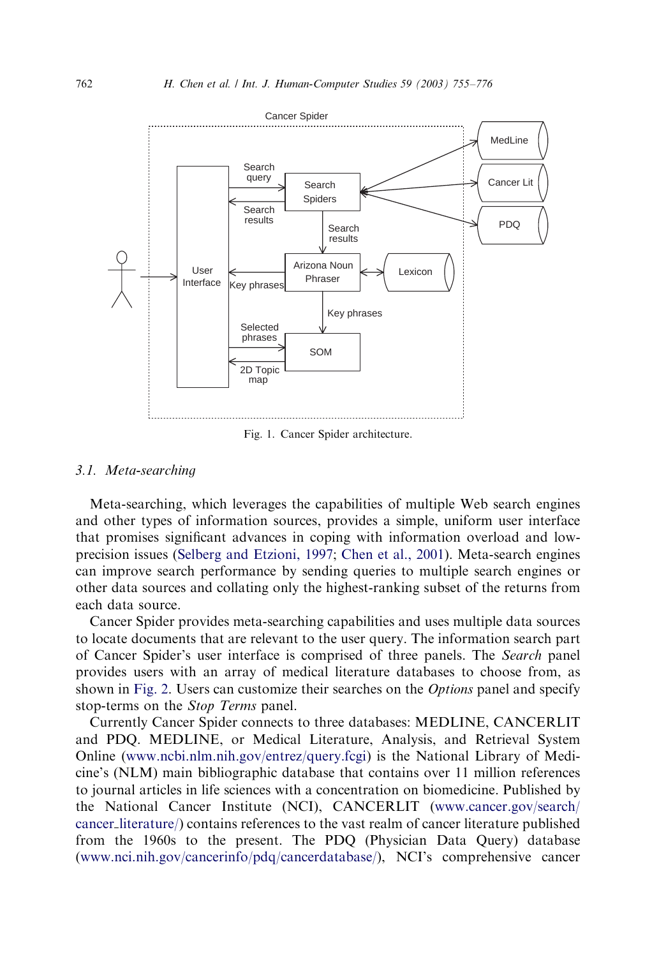

Fig. 1. Cancer Spider architecture.

#### 3.1. Meta-searching

Meta-searching, which leverages the capabilities of multiple Web search engines and other types [of information sources, p](#page-21-0)r[ovides a simple, u](#page-20-0)niform user interface that promises significant advances in coping with information overload and lowprecision issues (Selberg and Etzioni, 1997; Chen et al., 2001). Meta-search engines can improve search performance by sending queries to multiple search engines or other data sources and collating only the highest-ranking subset of the returns from each data source.

Cancer Spider provides meta-searching capabilities and uses multiple data sources to locate documents that are relevant to the user query. The information search part of Cance[r Spid](#page-8-0)er's user interface is comprised of three panels. The Search panel provides users with an array of medical literature databases to choose from, as shown in Fig. 2. Users can customize their searches on the Options panel and specify stop-terms on the Stop Terms panel.

Curre[ntly Cancer Spider connects to three dat](http://www.ncbi.nlm.nih.gov/entrez/query.fcgi)abases: MEDLINE, CANCERLIT and PDQ. MEDLINE, or Medical Literature, Analysis, and Retrieval System Online (www.ncbi.nlm.nih.gov/entrez/query.fcgi) is the National Library of Medicine's (NLM) main bibliographic database that contains o[ver 11 million references](http://www.cancer.gov/search/cancer_literature/) [to journal articles](http://www.cancer.gov/search/cancer_literature/) in life sciences with a concentration on biomedicine. Published by the National Cancer Institute (NCI), CANCERLIT (www.cancer.gov/search/ cancer [literature/\) contains references to the vast re](http://www.nci.nih.gov/cancerinfo/pdq/cancerdatabase/)alm of cancer literature published from the 1960s to the present. The PDQ (Physician Data Query) database (www.nci.nih.gov/cancerinfo/pdq/cancerdatabase/), NCI's comprehensive cancer

<span id="page-7-0"></span>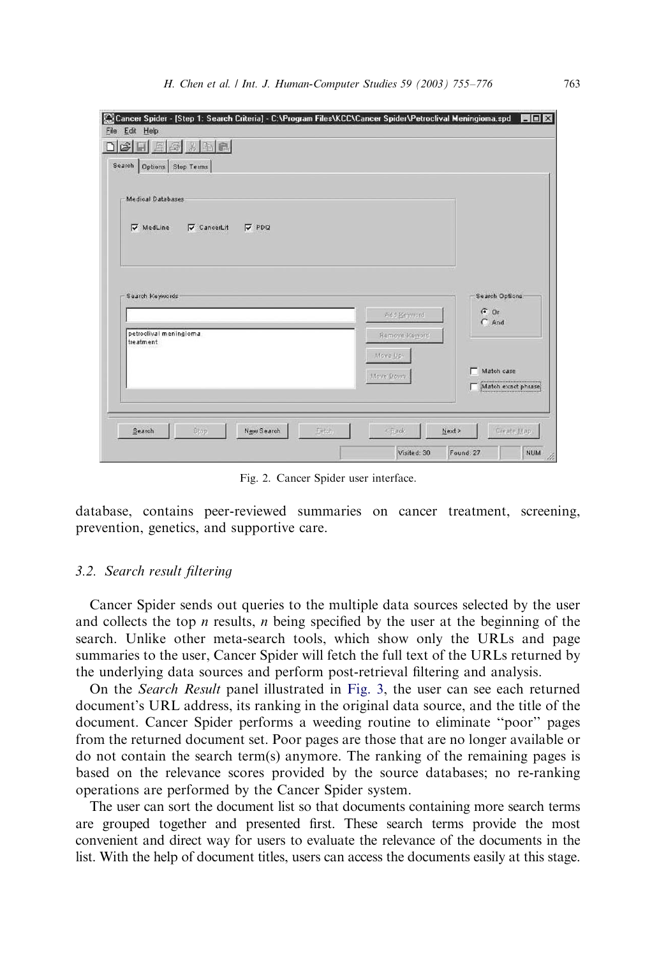<span id="page-8-0"></span>

| Medical Databases |           |              |             |                                     |
|-------------------|-----------|--------------|-------------|-------------------------------------|
| MedLine           | CancerLit | $\nabla$ PDQ |             |                                     |
|                   |           |              |             |                                     |
| Search Keywords   |           |              | Add Keyword | Search Options<br>$G$ Or<br>$C$ And |

Fig. 2. Cancer Spider user interface.

database, contains peer-reviewed summaries on cancer treatment, screening, prevention, genetics, and supportive care.

## 3.2. Search result filtering

Cancer Spider sends out queries to the multiple data sources selected by the user and collects the top *n* results, *n* being specified by the user at the beginning of the search. Unlike other meta-search tools, which show only the URLs and page summaries to the user, Cancer Spider will fet[ch the f](#page-9-0)ull text of the URLs returned by the underlying data sources and perform post-retrieval filtering and analysis.

On the Search Result panel illustrated in Fig. 3, the user can see each returned document's URL address, its ranking in the original data source, and the title of the document. Cancer Spider performs a weeding routine to eliminate ''poor'' pages from the returned document set. Poor pages are those that are no longer available or do not contain the search term(s) anymore. The ranking of the remaining pages is based on the relevance scores provided by the source databases; no re-ranking operations are performed by the Cancer Spider system.

The user can sort the document list so that documents containing more search terms are grouped together and presented first. These search terms provide the most convenient and direct way for users to evaluate the relevance of the documents in the list. With the help of document titles, users can access the documents easily at this stage.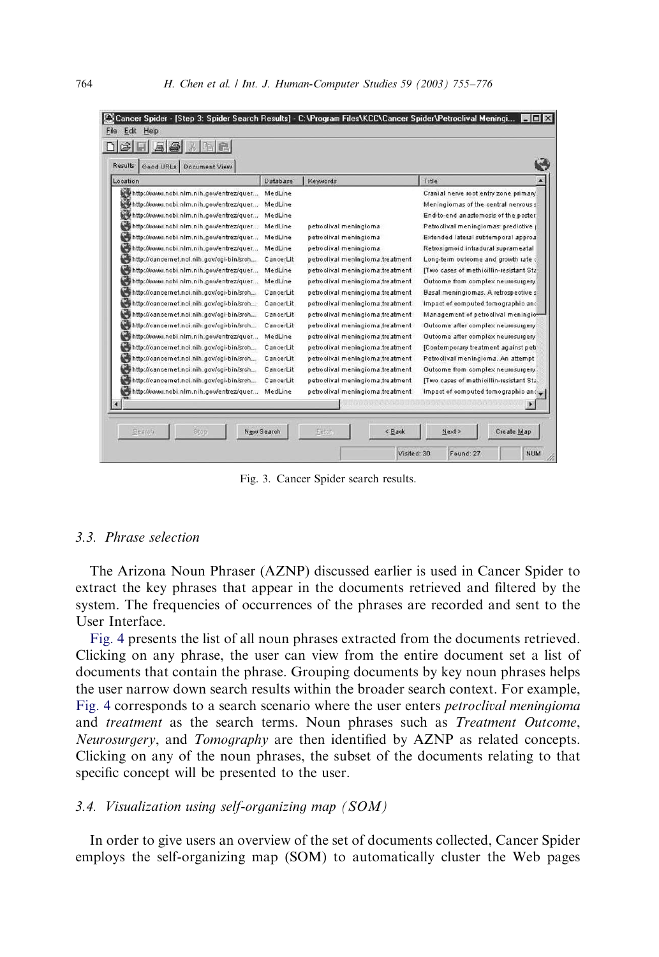<span id="page-9-0"></span>

| Location                                  | Database  | Keywords                          | Title                                    |
|-------------------------------------------|-----------|-----------------------------------|------------------------------------------|
| http://www.ncbi.nlm.nih.gov/entrez/quer   | MedLine   |                                   | Cranial nerve root entry zone primary    |
| http://www.nobi.nlm.nih.gov/entrez/quer   | MedLine   |                                   | Meningiomas of the central nervouss      |
| http://www.ncbi.nlm.nih.gov/entrez/quer   | MedLine   |                                   | End-to-end anastomosis of the poster     |
| http://www.ncbi.nim.nih.gow/entrez/quer   | MedLine   | petroclival meningioma            | Petroclival meningiomas: predictive      |
| http://www.ncbi.nlm.nih.gov/entrez/quer   | MedLine   | petroclival meningioma            | Extended lateral subtemporal approa      |
| http://www.ncbi.nlm.nih.gov/entrez/quer   | MedLine   | petroclival meningioma            | Retrosigmoid intradural suprameatal      |
| http://cancernet.nci.nih.gov/cgi-bin/srch | CancerLit | petroclival meningioma, treatment | Long-term outcome and growth rate o      |
| http://www.ncbi.nlm.nih.gov/entrez/quer   | MedLine   | petroclival meningioma, treatment | ITwo cases of methicillin-resistant Sta- |
| http://www.ncbi.nlm.nih.gov/entrez/quer   | MedLine   | petroclival meningioma, treatment | Outcome from complex neurosurgery        |
| http://cancernet.nci.nih.gow/cgi-bin/srch | CancerLit | petroclival meningioma, treatment | Basal meningiomas. A retrospective s     |
| http://cancernet.nci.nih.gov/cgi-bin/srch | CancerLit | petroclival meningioma, treatment | Impact of computed tomographic and       |
| http://oancernet.nci.nih.gov/ogi-bin/srch | CancerLit | petroclival meningioma, treatment | Management of petroclival meningio-      |
| http://cancernet.nci.nih.gov/cgi-bin/srch | CancerLit | petroclival meningioma, treatment | Outcome after complex neurosurgery       |
| http://www.ncbi.nlm.nih.gov/entrez/quer   | MedLine   | petroclival meningioma, treatment | Outcome after complex neurosurgery       |
| http://cancernet.nci.nih.gov/cgi-bin/srch | CancerLit | petroclival meningioma, treatment | [Contemporary treatment against petr     |
| http://cancernet.nci.nih.gov/cgi-bin/srch | CancerLit | petroclival meningioma, treatment | Petroclival meningioma. An attempt       |
| http://cancernet.nci.nih.gov/cgi-bin/srch | CancerLit | petroclival meningioma, treatment | Outcome from complex neurosurgery        |
| http://cancernet.nci.nih.gov/ogi-bin/srch | CancerLit | petroclival meningioma, treatment | [Two cases of methicillin-resistant Sta- |
| http://www.ncbi.nlm.nih.gov/entrez/quer   | MedLine   | petroclival meningioma, treatment | Impact of computed tomographic and       |
|                                           |           |                                   | 12 - 88 - 88 - 89 - 89 - 89 - 89 - 89 -  |

Fig. 3. Cancer Spider search results.

## 3.3. Phrase selection

The Arizona Noun Phraser (AZNP) discussed earlier is used in Cancer Spider to extract the key phrases that appear in the documents retrieved and filtered by the sy[stem.](#page-10-0) The frequencies of occurrences of the phrases are recorded and sent to the User Interface.

Fig. 4 presents the list of all noun phrases extracted from the documents retrieved. Clicking on any phrase, the user can view from the entire document set a list of [docum](#page-10-0)ents that contain the phrase. Grouping documents by key noun phrases helps the user narrow down search results within the broader search context. For example, Fig. 4 corresponds to a search scenario where the user enters petroclival meningioma and treatment as the search terms. Noun phrases such as Treatment Outcome, Neurosurgery, and Tomography are then identified by AZNP as related concepts. Clicking on any of the noun phrases, the subset of the documents relating to that specific concept will be presented to the user.

## 3.4. Visualization using self-organizing map (SOM)

In order to give users an overview of the set of documents collected, Cancer Spider employs the self-organizing map (SOM) to automatically cluster the Web pages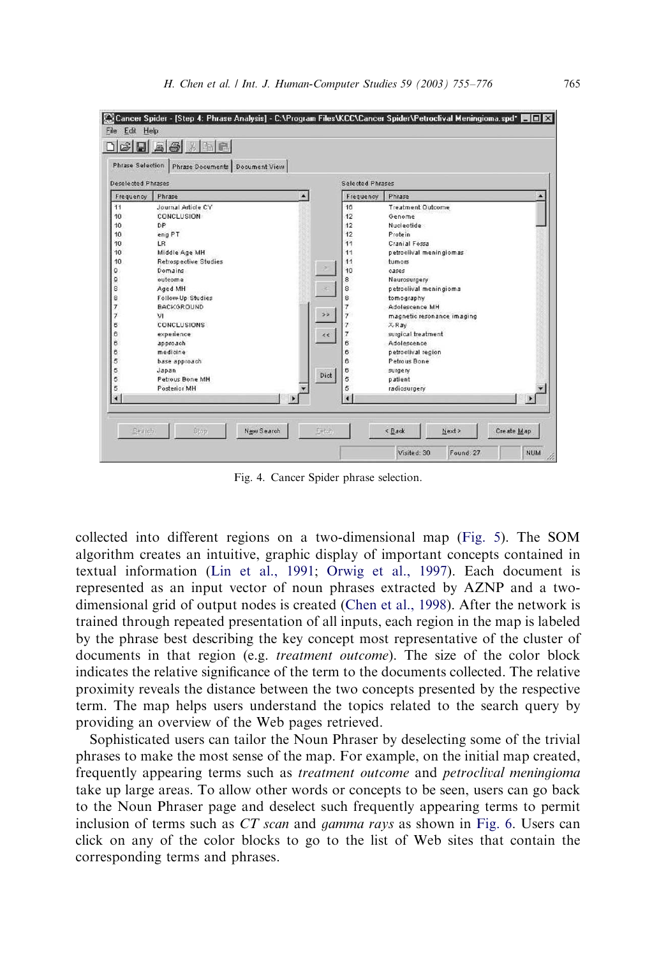<span id="page-10-0"></span>

| Deselected Phrases |                              |           | Selected Phrases |                            |
|--------------------|------------------------------|-----------|------------------|----------------------------|
| Frequency          | Phrase<br>Ä                  |           | Frequency        | Phrase                     |
| 11                 | Journal Article CY           |           | 16               | Treatment Outcome          |
| 10                 | <b>CONCLUSION</b>            |           | 12               | Genome                     |
| 10                 | DP                           |           | 12               | Nucleotide                 |
| 10                 | eng PT                       |           | 12               | Protein                    |
| 10 <sup>10</sup>   | <b>LR</b>                    |           | 11               | Cranial Fossa              |
| 10                 | Middle Age MH                |           | 11               | petroclival meningiomas    |
| 10                 | <b>Retrospective Studies</b> |           | 11               | tumors                     |
| g                  | Domains                      |           | 10               | cases                      |
| 9                  | outcome                      |           | 8                | Neurosurgery               |
| 8                  | Aged MH                      |           | 8                | petroolival meningioma     |
| 8                  | Follow-Up Studies            |           | 8                | tomography                 |
| $\overline{z}$     | <b>BACKGROUND</b>            |           | $\overline{7}$   | Adolescence MH             |
| 7                  | νï                           | $>\times$ | $\overline{7}$   | magnetic resonance imaging |
| 6                  | CONCLUSIONS                  |           | 7                | X-Ray                      |
| 6                  | experience                   | $< <$     | 7                | surgical treatment         |
| ò                  | approach                     |           | 6                | Adolescence                |
| 6                  | medicine                     |           | ñ                | petroclival region         |
| 5                  | base approach                |           | 6                | Petrous Bone               |
| 5                  | Japan                        | Dict      | 6                | surgery                    |
| 5                  | Petrous Bone MH              |           | 5                | patient                    |
| 5                  | Posterior MH                 |           | 5                | radiosurgery               |
|                    | R                            |           | X.               |                            |

Fig. 4. Cancer Spider phrase selection.

collected into differe[nt regions on a](#page-21-0) t[wo-dimensional map](#page-21-0) (Fig. 5). The SOM algorithm creates an intuitive, graphic display of important concepts contained in textual information (Lin et al., 1991; Or[wig et al., 1997](#page-20-0)). Each document is represented as an input vector of noun phrases extracted by AZNP and a twodimensional grid of output nodes is created (Chen et al., 1998). After the network is trained through repeated presentation of all inputs, each region in the map is labeled by the phrase best describing the key concept most representative of the cluster of documents in that region (e.g. treatment outcome). The size of the color block indicates the relative significance of the term to the documents collected. The relative proximity reveals the distance between the two concepts presented by the respective term. The map helps users understand the topics related to the search query by providing an overview of the Web pages retrieved.

Sophisticated users can tailor the Noun Phraser by deselecting some of the trivial phrases to make the most sense of the map. For example, on the initial map created, frequently appearing terms such as treatment outcome and petroclival meningioma take up large areas. To allow other words or concepts to be seen, [users c](#page-12-0)an go back to the Noun Phraser page and deselect such frequently appearing terms to permit inclusion of terms such as CT scan and *gamma rays* as shown in Fig. 6. Users can click on any of the color blocks to go to the list of Web sites that contain the corresponding terms and phrases.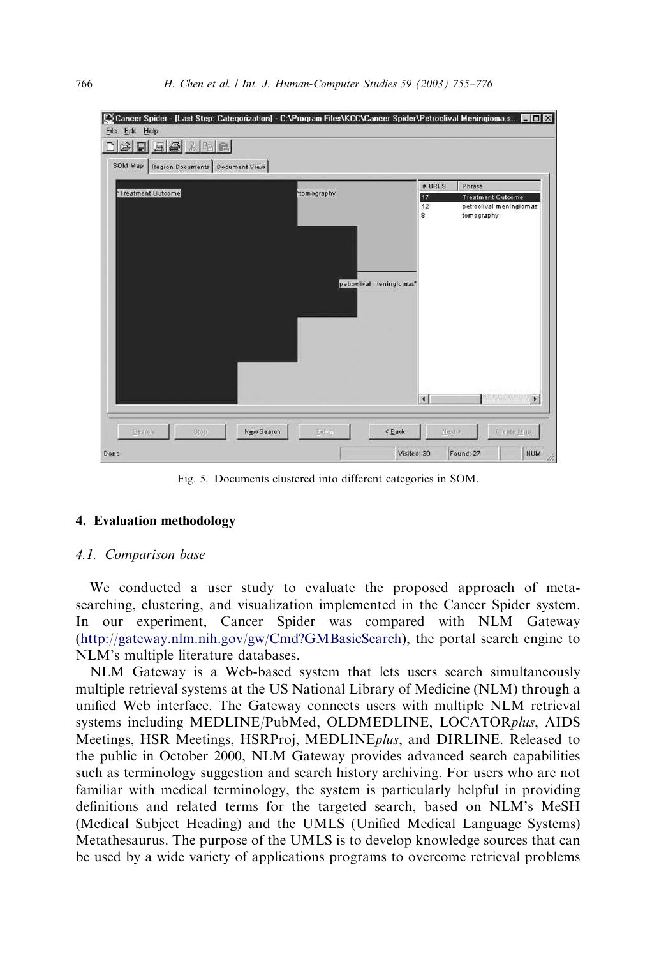| *Treatment Outcome | tomography               | # URLS        | Phrase                                                            |
|--------------------|--------------------------|---------------|-------------------------------------------------------------------|
|                    | petroclival meningiomas" | 17<br>12<br>8 | <b>Treatment Outcome</b><br>petroolival meningiomas<br>tomography |
|                    |                          | 湖             | ,,,,,,,,,<br>$\blacksquare$                                       |

Fig. 5. Documents clustered into different categories in SOM.

#### 4. Evaluation methodology

#### 4.1. Comparison base

We conducted a user study to evaluate the proposed approach of meta[searching, clustering, and visualization implemented i](http://gateway.nlm.nih.gov/gw/Cmd?GMBasicSearch)n the Cancer Spider system. In our experiment, Cancer Spider was compared with NLM Gateway (http://gateway.nlm.nih.gov/gw/Cmd?GMBasicSearch), the portal search engine to NLM's multiple literature databases.

NLM Gateway is a Web-based system that lets users search simultaneously multiple retrieval systems at the US National Library of Medicine (NLM) through a unified Web interface. The Gateway connects users with multiple NLM retrieval systems including MEDLINE/PubMed, OLDMEDLINE, LOCATORplus, AIDS Meetings, HSR Meetings, HSRProj, MEDLINEplus, and DIRLINE. Released to the public in October 2000, NLM Gateway provides advanced search capabilities such as terminology suggestion and search history archiving. For users who are not familiar with medical terminology, the system is particularly helpful in providing definitions and related terms for the targeted search, based on NLM's MeSH (Medical Subject Heading) and the UMLS (Unified Medical Language Systems) Metathesaurus. The purpose of the UMLS is to develop knowledge sources that can be used by a wide variety of applications programs to overcome retrieval problems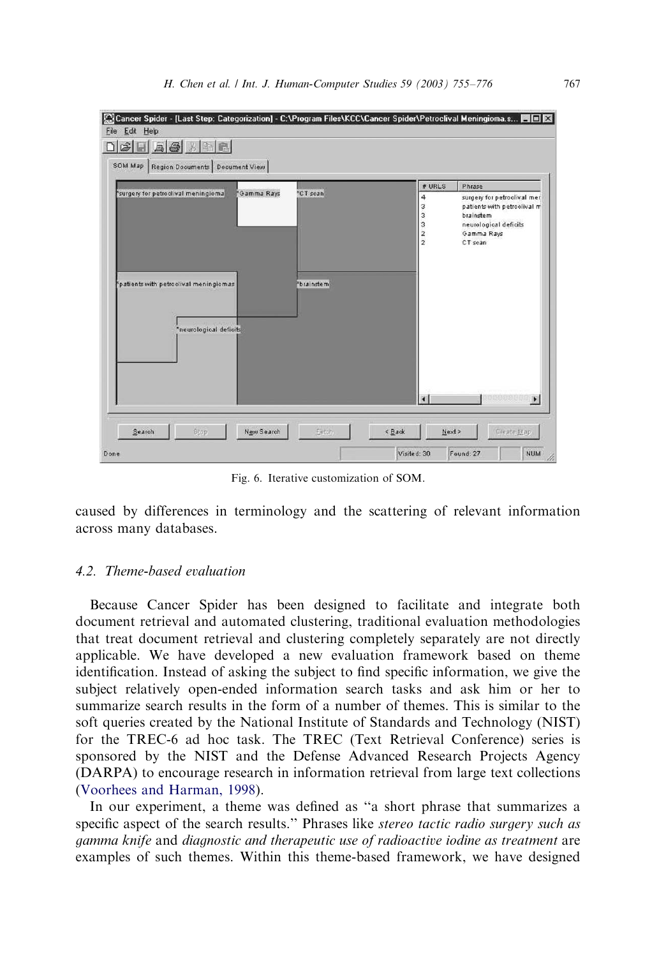<span id="page-12-0"></span>

| surgery for petroclival meningiomal                             | Gamma Rays | *CT scan  | # URLS                            | Phrase                                                                                                                    |
|-----------------------------------------------------------------|------------|-----------|-----------------------------------|---------------------------------------------------------------------------------------------------------------------------|
|                                                                 |            |           | 4<br>3<br>3<br>3<br>$\frac{2}{2}$ | surgery for petroclival mer<br>patients with petroclival m<br>brainstem<br>neurological deficits<br>Gamma Rays<br>CT sean |
| patients with petroclival meningiomas<br>*neurological deficits |            | brainstem |                                   |                                                                                                                           |
|                                                                 |            |           |                                   |                                                                                                                           |

Fig. 6. Iterative customization of SOM.

caused by differences in terminology and the scattering of relevant information across many databases.

## 4.2. Theme-based evaluation

Because Cancer Spider has been designed to facilitate and integrate both document retrieval and automated clustering, traditional evaluation methodologies that treat document retrieval and clustering completely separately are not directly applicable. We have developed a new evaluation framework based on theme identification. Instead of asking the subject to find specific information, we give the subject relatively open-ended information search tasks and ask him or her to summarize search results in the form of a number of themes. This is similar to the soft queries created by the National Institute of Standards and Technology (NIST) for the TREC-6 ad hoc task. The TREC (Text Retrieval Conference) series is [sponsored by the NIST and](#page-21-0) the Defense Advanced Research Projects Agency (DARPA) to encourage research in information retrieval from large text collections (Voorhees and Harman, 1998).

In our experiment, a theme was defined as ''a short phrase that summarizes a specific aspect of the search results.'' Phrases like stereo tactic radio surgery such as gamma knife and diagnostic and therapeutic use of radioactive iodine as treatment are examples of such themes. Within this theme-based framework, we have designed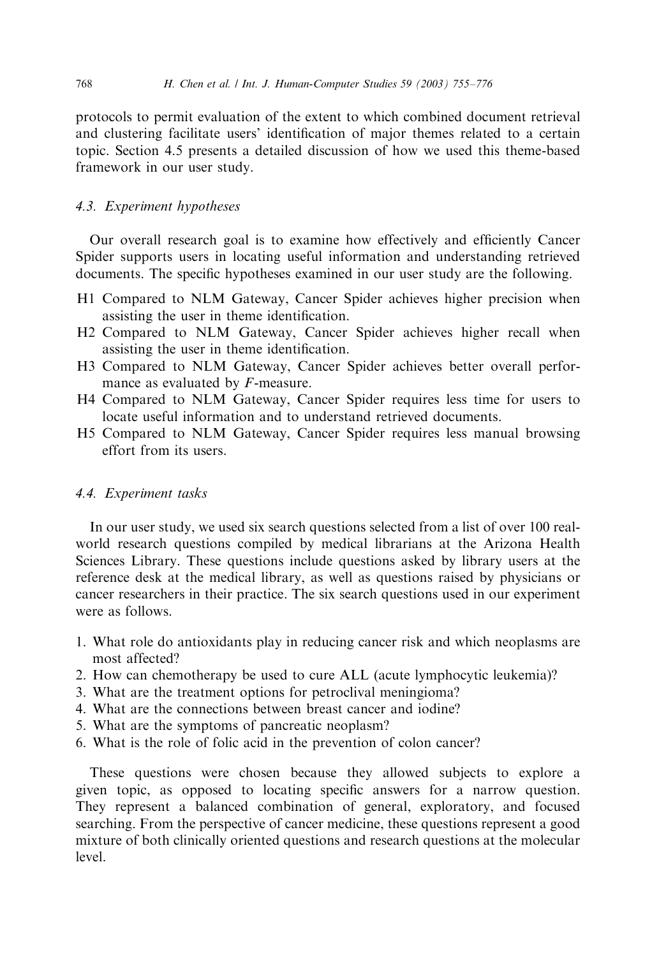protocols to permit evaluation of the extent to which combined document retrieval and clustering facilitate users' identification of major themes related to a certain topic. Section 4.5 presents a detailed discussion of how we used this theme-based framework in our user study.

#### 4.3. Experiment hypotheses

Our overall research goal is to examine how effectively and efficiently Cancer Spider supports users in locating useful information and understanding retrieved documents. The specific hypotheses examined in our user study are the following.

- H1 Compared to NLM Gateway, Cancer Spider achieves higher precision when assisting the user in theme identification.
- H2 Compared to NLM Gateway, Cancer Spider achieves higher recall when assisting the user in theme identification.
- H3 Compared to NLM Gateway, Cancer Spider achieves better overall performance as evaluated by F-measure.
- H4 Compared to NLM Gateway, Cancer Spider requires less time for users to locate useful information and to understand retrieved documents.
- H5 Compared to NLM Gateway, Cancer Spider requires less manual browsing effort from its users.

#### 4.4. Experiment tasks

In our user study, we used six search questions selected from a list of over 100 realworld research questions compiled by medical librarians at the Arizona Health Sciences Library. These questions include questions asked by library users at the reference desk at the medical library, as well as questions raised by physicians or cancer researchers in their practice. The six search questions used in our experiment were as follows.

- 1. What role do antioxidants play in reducing cancer risk and which neoplasms are most affected?
- 2. How can chemotherapy be used to cure ALL (acute lymphocytic leukemia)?
- 3. What are the treatment options for petroclival meningioma?
- 4. What are the connections between breast cancer and iodine?
- 5. What are the symptoms of pancreatic neoplasm?
- 6. What is the role of folic acid in the prevention of colon cancer?

These questions were chosen because they allowed subjects to explore a given topic, as opposed to locating specific answers for a narrow question. They represent a balanced combination of general, exploratory, and focused searching. From the perspective of cancer medicine, these questions represent a good mixture of both clinically oriented questions and research questions at the molecular level.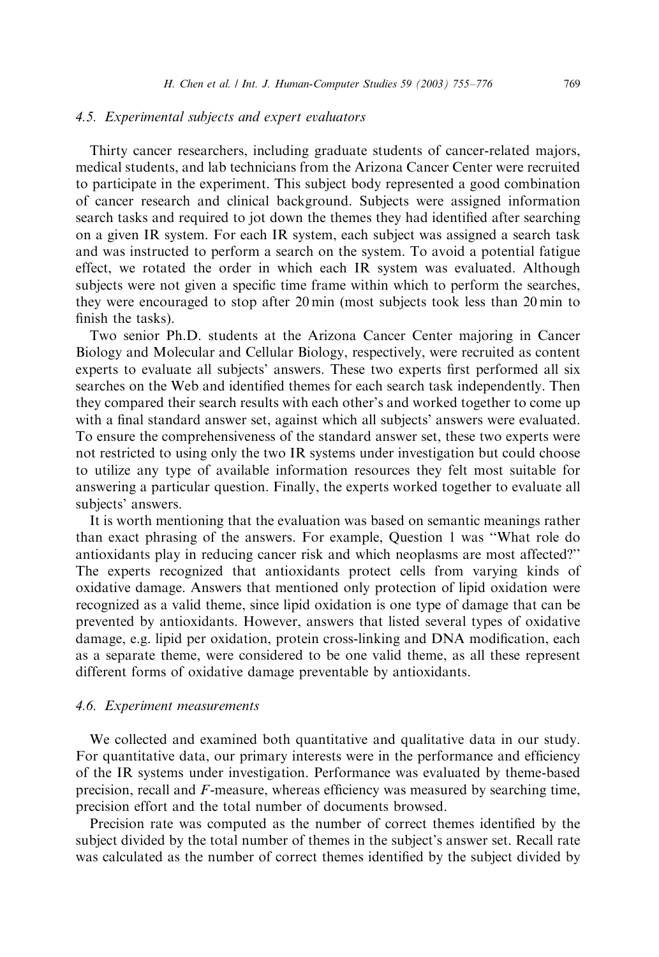## 4.5. Experimental subjects and expert evaluators

Thirty cancer researchers, including graduate students of cancer-related majors, medical students, and lab technicians from the Arizona Cancer Center were recruited to participate in the experiment. This subject body represented a good combination of cancer research and clinical background. Subjects were assigned information search tasks and required to jot down the themes they had identified after searching on a given IR system. For each IR system, each subject was assigned a search task and was instructed to perform a search on the system. To avoid a potential fatigue effect, we rotated the order in which each IR system was evaluated. Although subjects were not given a specific time frame within which to perform the searches, they were encouraged to stop after 20 min (most subjects took less than 20 min to finish the tasks).

Two senior Ph.D. students at the Arizona Cancer Center majoring in Cancer Biology and Molecular and Cellular Biology, respectively, were recruited as content experts to evaluate all subjects' answers. These two experts first performed all six searches on the Web and identified themes for each search task independently. Then they compared their search results with each other's and worked together to come up with a final standard answer set, against which all subjects' answers were evaluated. To ensure the comprehensiveness of the standard answer set, these two experts were not restricted to using only the two IR systems under investigation but could choose to utilize any type of available information resources they felt most suitable for answering a particular question. Finally, the experts worked together to evaluate all subjects' answers.

It is worth mentioning that the evaluation was based on semantic meanings rather than exact phrasing of the answers. For example, Question 1 was ''What role do antioxidants play in reducing cancer risk and which neoplasms are most affected?'' The experts recognized that antioxidants protect cells from varying kinds of oxidative damage. Answers that mentioned only protection of lipid oxidation were recognized as a valid theme, since lipid oxidation is one type of damage that can be prevented by antioxidants. However, answers that listed several types of oxidative damage, e.g. lipid per oxidation, protein cross-linking and DNA modification, each as a separate theme, were considered to be one valid theme, as all these represent different forms of oxidative damage preventable by antioxidants.

#### 4.6. Experiment measurements

We collected and examined both quantitative and qualitative data in our study. For quantitative data, our primary interests were in the performance and efficiency of the IR systems under investigation. Performance was evaluated by theme-based precision, recall and F-measure, whereas efficiency was measured by searching time, precision effort and the total number of documents browsed.

Precision rate was computed as the number of correct themes identified by the subject divided by the total number of themes in the subject's answer set. Recall rate was calculated as the number of correct themes identified by the subject divided by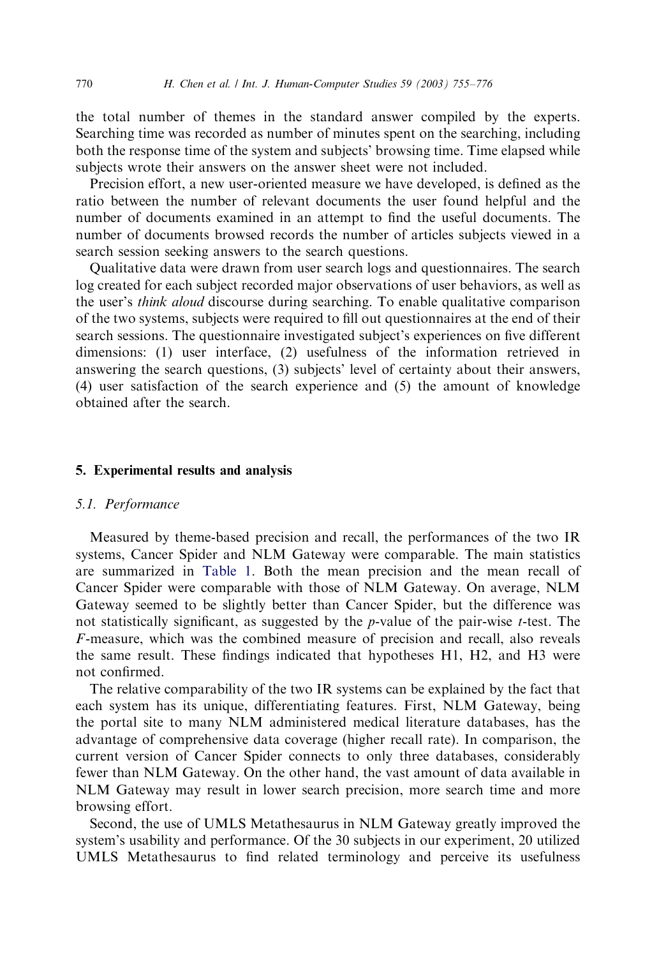the total number of themes in the standard answer compiled by the experts. Searching time was recorded as number of minutes spent on the searching, including both the response time of the system and subjects' browsing time. Time elapsed while subjects wrote their answers on the answer sheet were not included.

Precision effort, a new user-oriented measure we have developed, is defined as the ratio between the number of relevant documents the user found helpful and the number of documents examined in an attempt to find the useful documents. The number of documents browsed records the number of articles subjects viewed in a search session seeking answers to the search questions.

Qualitative data were drawn from user search logs and questionnaires. The search log created for each subject recorded major observations of user behaviors, as well as the user's think aloud discourse during searching. To enable qualitative comparison of the two systems, subjects were required to fill out questionnaires at the end of their search sessions. The questionnaire investigated subject's experiences on five different dimensions: (1) user interface, (2) usefulness of the information retrieved in answering the search questions, (3) subjects' level of certainty about their answers, (4) user satisfaction of the search experience and (5) the amount of knowledge obtained after the search.

#### 5. Experimental results and analysis

#### 5.1. Performance

Measured by the[me-based](#page-16-0) precision and recall, the performances of the two IR systems, Cancer Spider and NLM Gateway were comparable. The main statistics are summarized in Table 1. Both the mean precision and the mean recall of Cancer Spider were comparable with those of NLM Gateway. On average, NLM Gateway seemed to be slightly better than Cancer Spider, but the difference was not statistically significant, as suggested by the p-value of the pair-wise t-test. The F-measure, which was the combined measure of precision and recall, also reveals the same result. These findings indicated that hypotheses H1, H2, and H3 were not confirmed.

The relative comparability of the two IR systems can be explained by the fact that each system has its unique, differentiating features. First, NLM Gateway, being the portal site to many NLM administered medical literature databases, has the advantage of comprehensive data coverage (higher recall rate). In comparison, the current version of Cancer Spider connects to only three databases, considerably fewer than NLM Gateway. On the other hand, the vast amount of data available in NLM Gateway may result in lower search precision, more search time and more browsing effort.

Second, the use of UMLS Metathesaurus in NLM Gateway greatly improved the system's usability and performance. Of the 30 subjects in our experiment, 20 utilized UMLS Metathesaurus to find related terminology and perceive its usefulness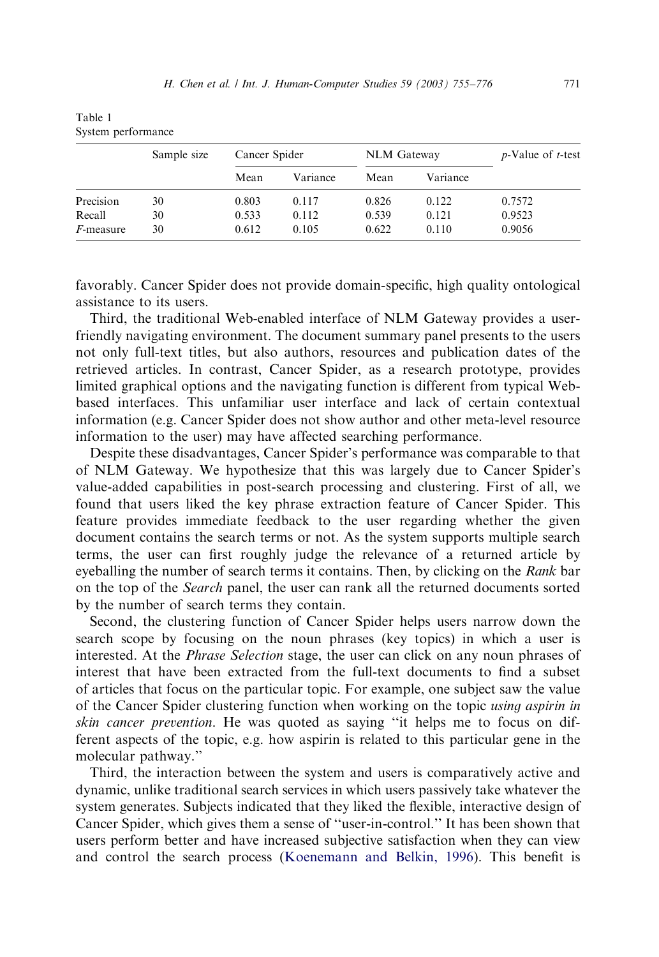|                   | Sample size |       | Cancer Spider |       | <b>NLM</b> Gateway | $p$ -Value of <i>t</i> -test |
|-------------------|-------------|-------|---------------|-------|--------------------|------------------------------|
|                   |             | Mean  | Variance      | Mean  | Variance           |                              |
| Precision         | 30          | 0.803 | 0.117         | 0.826 | 0.122              | 0.7572                       |
| Recall            | 30          | 0.533 | 0.112         | 0.539 | 0.121              | 0.9523                       |
| <i>F</i> -measure | 30          | 0.612 | 0.105         | 0.622 | 0.110              | 0.9056                       |

<span id="page-16-0"></span>Table 1 System performance

favorably. Cancer Spider does not provide domain-specific, high quality ontological assistance to its users.

Third, the traditional Web-enabled interface of NLM Gateway provides a userfriendly navigating environment. The document summary panel presents to the users not only full-text titles, but also authors, resources and publication dates of the retrieved articles. In contrast, Cancer Spider, as a research prototype, provides limited graphical options and the navigating function is different from typical Webbased interfaces. This unfamiliar user interface and lack of certain contextual information (e.g. Cancer Spider does not show author and other meta-level resource information to the user) may have affected searching performance.

Despite these disadvantages, Cancer Spider's performance was comparable to that of NLM Gateway. We hypothesize that this was largely due to Cancer Spider's value-added capabilities in post-search processing and clustering. First of all, we found that users liked the key phrase extraction feature of Cancer Spider. This feature provides immediate feedback to the user regarding whether the given document contains the search terms or not. As the system supports multiple search terms, the user can first roughly judge the relevance of a returned article by eyeballing the number of search terms it contains. Then, by clicking on the Rank bar on the top of the Search panel, the user can rank all the returned documents sorted by the number of search terms they contain.

Second, the clustering function of Cancer Spider helps users narrow down the search scope by focusing on the noun phrases (key topics) in which a user is interested. At the Phrase Selection stage, the user can click on any noun phrases of interest that have been extracted from the full-text documents to find a subset of articles that focus on the particular topic. For example, one subject saw the value of the Cancer Spider clustering function when working on the topic using aspirin in skin cancer prevention. He was quoted as saying ''it helps me to focus on different aspects of the topic, e.g. how aspirin is related to this particular gene in the molecular pathway.''

Third, the interaction between the system and users is comparatively active and dynamic, unlike traditional search services in which users passively take whatever the system generates. Subjects indicated that they liked the flexible, interactive design of Cancer Spider, which gives them a [sense of ''user-in-control.'' It has](#page-21-0) been shown that users perform better and have increased subjective satisfaction when they can view and control the search process (Koenemann and Belkin, 1996). This benefit is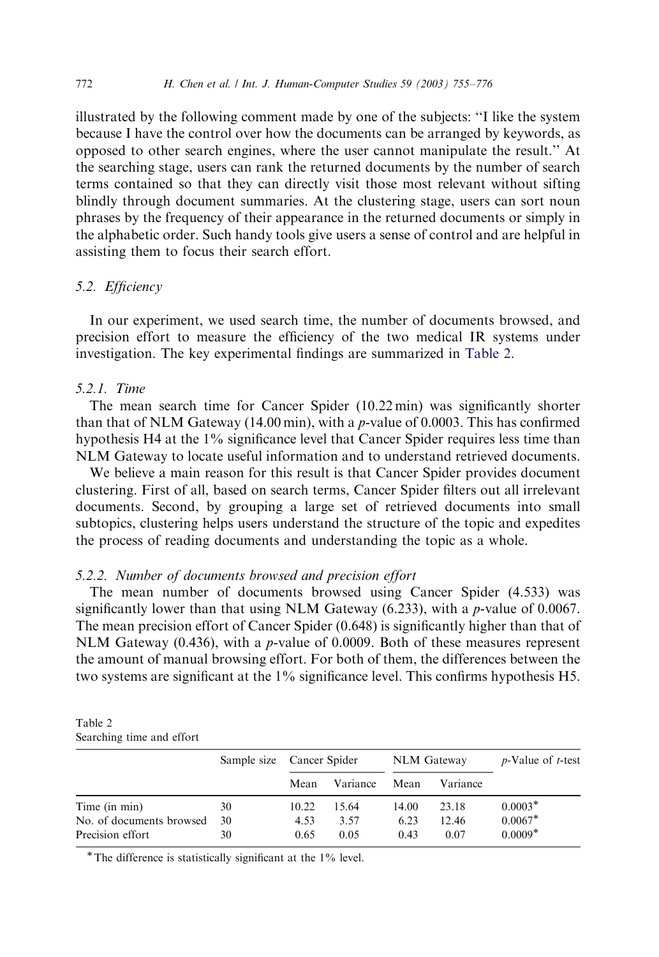illustrated by the following comment made by one of the subjects: ''I like the system because I have the control over how the documents can be arranged by keywords, as opposed to other search engines, where the user cannot manipulate the result.'' At the searching stage, users can rank the returned documents by the number of search terms contained so that they can directly visit those most relevant without sifting blindly through document summaries. At the clustering stage, users can sort noun phrases by the frequency of their appearance in the returned documents or simply in the alphabetic order. Such handy tools give users a sense of control and are helpful in assisting them to focus their search effort.

## 5.2. Efficiency

In our experiment, we used search time, the number of documents browsed, and precision effort to measure the efficiency of the two medical IR systems under investigation. The key experimental findings are summarized in Table 2.

## 5.2.1. Time

The mean search time for Cancer Spider (10.22 min) was significantly shorter than that of NLM Gateway (14.00 min), with a p-value of 0.0003. This has confirmed hypothesis H4 at the 1% significance level that Cancer Spider requires less time than NLM Gateway to locate useful information and to understand retrieved documents.

We believe a main reason for this result is that Cancer Spider provides document clustering. First of all, based on search terms, Cancer Spider filters out all irrelevant documents. Second, by grouping a large set of retrieved documents into small subtopics, clustering helps users understand the structure of the topic and expedites the process of reading documents and understanding the topic as a whole.

## 5.2.2. Number of documents browsed and precision effort

The mean number of documents browsed using Cancer Spider (4.533) was significantly lower than that using NLM Gateway (6.233), with a p-value of 0.0067. The mean precision effort of Cancer Spider (0.648) is significantly higher than that of NLM Gateway (0.436), with a *p*-value of 0.0009. Both of these measures represent the amount of manual browsing effort. For both of them, the differences between the two systems are significant at the 1% significance level. This confirms hypothesis H5.

| Table 2                   |  |  |
|---------------------------|--|--|
| Searching time and effort |  |  |

|                          |    | Sample size Cancer Spider |          | <b>NLM</b> Gateway |          | $p$ -Value of <i>t</i> -test |
|--------------------------|----|---------------------------|----------|--------------------|----------|------------------------------|
|                          |    | Mean                      | Variance | Mean               | Variance |                              |
| Time (in min)            | 30 | 10.22                     | 15.64    | 14.00              | 23.18    | $0.0003*$                    |
| No. of documents browsed | 30 | 4.53                      | 3.57     | 6.23               | 12.46    | $0.0067*$                    |
| Precision effort         | 30 | 0.65                      | 0.05     | 0.43               | 0.07     | $0.0009*$                    |

The difference is statistically significant at the 1% level.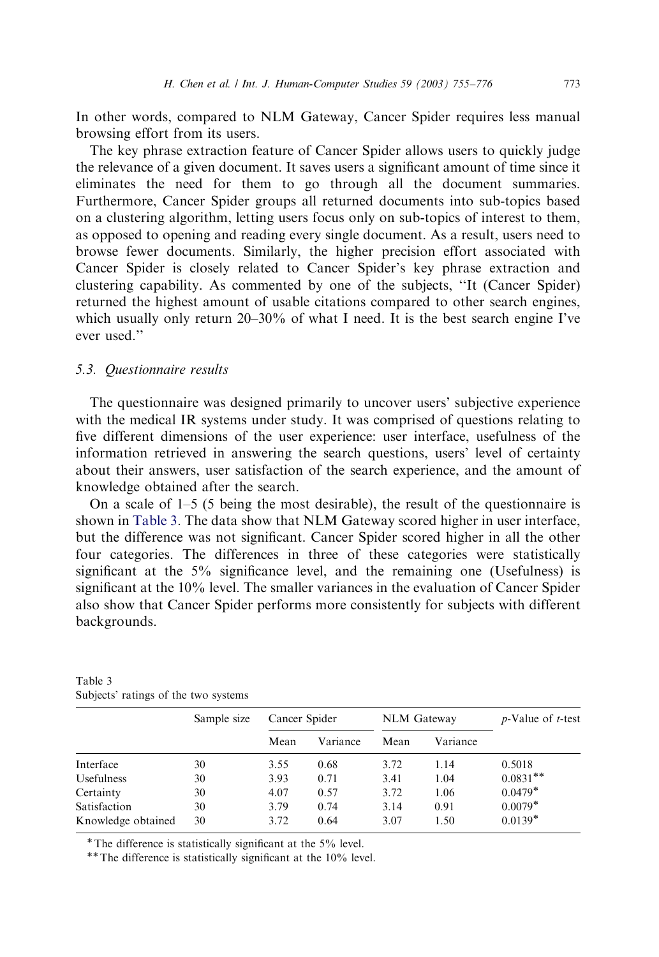In other words, compared to NLM Gateway, Cancer Spider requires less manual browsing effort from its users.

The key phrase extraction feature of Cancer Spider allows users to quickly judge the relevance of a given document. It saves users a significant amount of time since it eliminates the need for them to go through all the document summaries. Furthermore, Cancer Spider groups all returned documents into sub-topics based on a clustering algorithm, letting users focus only on sub-topics of interest to them, as opposed to opening and reading every single document. As a result, users need to browse fewer documents. Similarly, the higher precision effort associated with Cancer Spider is closely related to Cancer Spider's key phrase extraction and clustering capability. As commented by one of the subjects, ''It (Cancer Spider) returned the highest amount of usable citations compared to other search engines, which usually only return 20–30% of what I need. It is the best search engine I've ever used.''

## 5.3. Questionnaire results

The questionnaire was designed primarily to uncover users' subjective experience with the medical IR systems under study. It was comprised of questions relating to five different dimensions of the user experience: user interface, usefulness of the information retrieved in answering the search questions, users' level of certainty about their answers, user satisfaction of the search experience, and the amount of knowledge obtained after the search.

On a scale of  $1-5$  (5 being the most desirable), the result of the questionnaire is shown in Table 3. The data show that NLM Gateway scored higher in user interface, but the difference was not significant. Cancer Spider scored higher in all the other four categories. The differences in three of these categories were statistically significant at the 5% significance level, and the remaining one (Usefulness) is significant at the 10% level. The smaller variances in the evaluation of Cancer Spider also show that Cancer Spider performs more consistently for subjects with different backgrounds.

|                    | Sample size |      | Cancer Spider |      | <b>NLM</b> Gateway | $p$ -Value of <i>t</i> -test |
|--------------------|-------------|------|---------------|------|--------------------|------------------------------|
|                    |             | Mean | Variance      | Mean | Variance           |                              |
| Interface          | 30          | 3.55 | 0.68          | 3.72 | 1.14               | 0.5018                       |
| <b>Usefulness</b>  | 30          | 3.93 | 0.71          | 3.41 | 1.04               | $0.0831**$                   |
| Certainty          | 30          | 4.07 | 0.57          | 3.72 | 1.06               | $0.0479*$                    |
| Satisfaction       | 30          | 3.79 | 0.74          | 3.14 | 0.91               | $0.0079*$                    |
| Knowledge obtained | 30          | 3.72 | 0.64          | 3.07 | 1.50               | $0.0139*$                    |

Table 3 Subjects' ratings of the two systems

The difference is statistically significant at the 5% level.

\*\* The difference is statistically significant at the 10% level.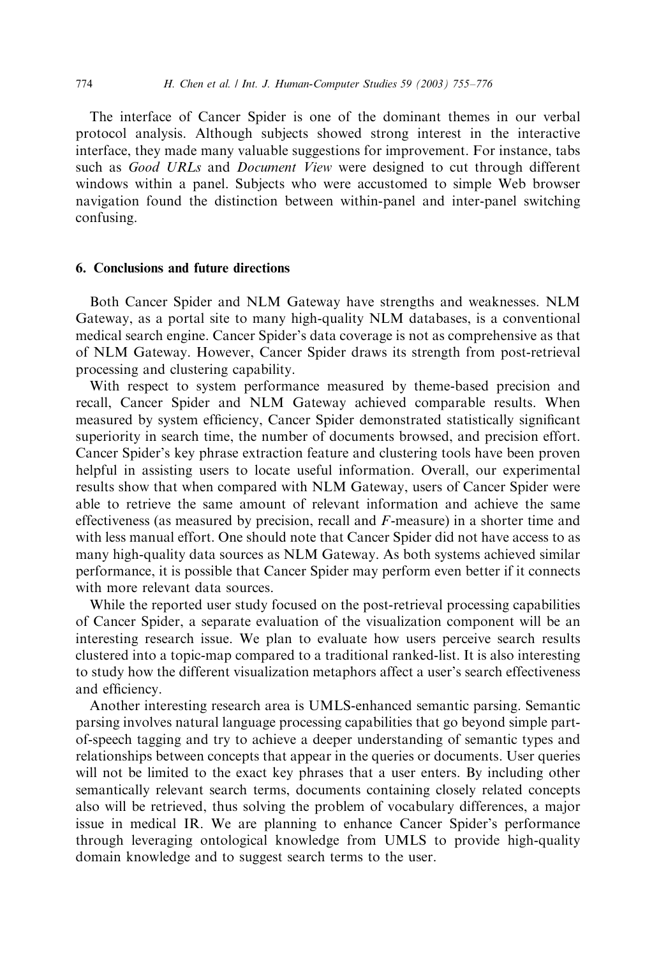The interface of Cancer Spider is one of the dominant themes in our verbal protocol analysis. Although subjects showed strong interest in the interactive interface, they made many valuable suggestions for improvement. For instance, tabs such as Good URLs and Document View were designed to cut through different windows within a panel. Subjects who were accustomed to simple Web browser navigation found the distinction between within-panel and inter-panel switching confusing.

## 6. Conclusions and future directions

Both Cancer Spider and NLM Gateway have strengths and weaknesses. NLM Gateway, as a portal site to many high-quality NLM databases, is a conventional medical search engine. Cancer Spider's data coverage is not as comprehensive as that of NLM Gateway. However, Cancer Spider draws its strength from post-retrieval processing and clustering capability.

With respect to system performance measured by theme-based precision and recall, Cancer Spider and NLM Gateway achieved comparable results. When measured by system efficiency, Cancer Spider demonstrated statistically significant superiority in search time, the number of documents browsed, and precision effort. Cancer Spider's key phrase extraction feature and clustering tools have been proven helpful in assisting users to locate useful information. Overall, our experimental results show that when compared with NLM Gateway, users of Cancer Spider were able to retrieve the same amount of relevant information and achieve the same effectiveness (as measured by precision, recall and F-measure) in a shorter time and with less manual effort. One should note that Cancer Spider did not have access to as many high-quality data sources as NLM Gateway. As both systems achieved similar performance, it is possible that Cancer Spider may perform even better if it connects with more relevant data sources.

While the reported user study focused on the post-retrieval processing capabilities of Cancer Spider, a separate evaluation of the visualization component will be an interesting research issue. We plan to evaluate how users perceive search results clustered into a topic-map compared to a traditional ranked-list. It is also interesting to study how the different visualization metaphors affect a user's search effectiveness and efficiency.

Another interesting research area is UMLS-enhanced semantic parsing. Semantic parsing involves natural language processing capabilities that go beyond simple partof-speech tagging and try to achieve a deeper understanding of semantic types and relationships between concepts that appear in the queries or documents. User queries will not be limited to the exact key phrases that a user enters. By including other semantically relevant search terms, documents containing closely related concepts also will be retrieved, thus solving the problem of vocabulary differences, a major issue in medical IR. We are planning to enhance Cancer Spider's performance through leveraging ontological knowledge from UMLS to provide high-quality domain knowledge and to suggest search terms to the user.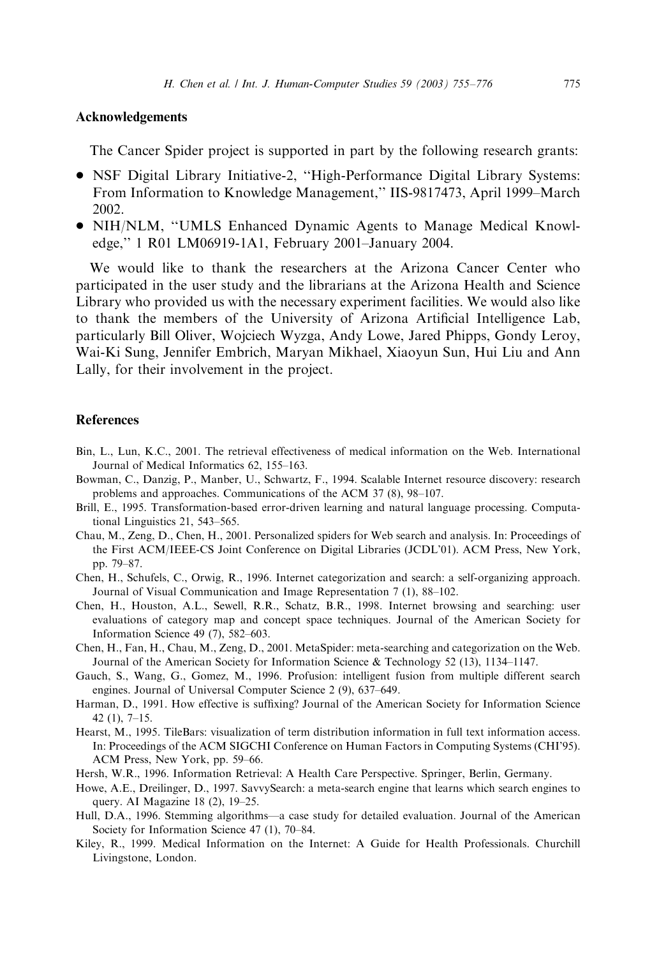## <span id="page-20-0"></span>Acknowledgements

The Cancer Spider project is supported in part by the following research grants:

- NSF Digital Library Initiative-2, "High-Performance Digital Library Systems: From Information to Knowledge Management,'' IIS-9817473, April 1999–March 2002.
- \* NIH/NLM, ''UMLS Enhanced Dynamic Agents to Manage Medical Knowledge,'' 1 R01 LM06919-1A1, February 2001–January 2004.

We would like to thank the researchers at the Arizona Cancer Center who participated in the user study and the librarians at the Arizona Health and Science Library who provided us with the necessary experiment facilities. We would also like to thank the members of the University of Arizona Artificial Intelligence Lab, particularly Bill Oliver, Wojciech Wyzga, Andy Lowe, Jared Phipps, Gondy Leroy, Wai-Ki Sung, Jennifer Embrich, Maryan Mikhael, Xiaoyun Sun, Hui Liu and Ann Lally, for their involvement in the project.

## References

- Bin, L., Lun, K.C., 2001. The retrieval effectiveness of medical information on the Web. International Journal of Medical Informatics 62, 155–163.
- Bowman, C., Danzig, P., Manber, U., Schwartz, F., 1994. Scalable Internet resource discovery: research problems and approaches. Communications of the ACM 37 (8), 98–107.
- Brill, E., 1995. Transformation-based error-driven learning and natural language processing. Computational Linguistics 21, 543–565.
- Chau, M., Zeng, D., Chen, H., 2001. Personalized spiders for Web search and analysis. In: Proceedings of the First ACM/IEEE-CS Joint Conference on Digital Libraries (JCDL'01). ACM Press, New York, pp. 79–87.
- Chen, H., Schufels, C., Orwig, R., 1996. Internet categorization and search: a self-organizing approach. Journal of Visual Communication and Image Representation 7 (1), 88–102.
- Chen, H., Houston, A.L., Sewell, R.R., Schatz, B.R., 1998. Internet browsing and searching: user evaluations of category map and concept space techniques. Journal of the American Society for Information Science 49 (7), 582–603.
- Chen, H., Fan, H., Chau, M., Zeng, D., 2001. MetaSpider: meta-searching and categorization on the Web. Journal of the American Society for Information Science & Technology 52 (13), 1134–1147.
- Gauch, S., Wang, G., Gomez, M., 1996. Profusion: intelligent fusion from multiple different search engines. Journal of Universal Computer Science 2 (9), 637–649.
- Harman, D., 1991. How effective is suffixing? Journal of the American Society for Information Science 42 (1), 7–15.
- Hearst, M., 1995. TileBars: visualization of term distribution information in full text information access. In: Proceedings of the ACM SIGCHI Conference on Human Factors in Computing Systems (CHI'95). ACM Press, New York, pp. 59–66.
- Hersh, W.R., 1996. Information Retrieval: A Health Care Perspective. Springer, Berlin, Germany.
- Howe, A.E., Dreilinger, D., 1997. SavvySearch: a meta-search engine that learns which search engines to query. AI Magazine 18 (2), 19–25.
- Hull, D.A., 1996. Stemming algorithms—a case study for detailed evaluation. Journal of the American Society for Information Science 47 (1), 70–84.
- Kiley, R., 1999. Medical Information on the Internet: A Guide for Health Professionals. Churchill Livingstone, London.